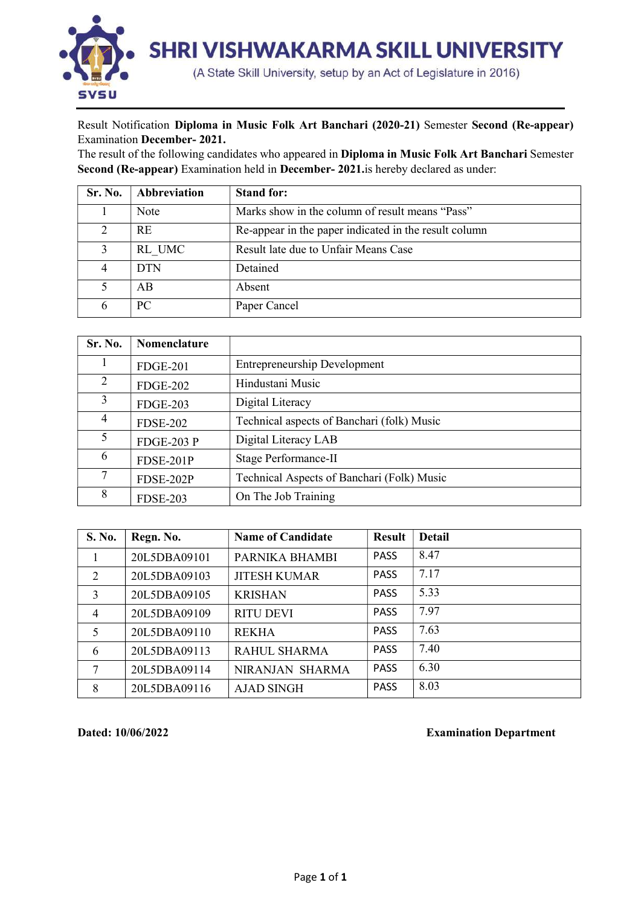

## Result Notification Diploma in Music Folk Art Banchari (2020-21) Semester Second (Re-appear) Examination December- 2021.

The result of the following candidates who appeared in Diploma in Music Folk Art Banchari Semester Second (Re-appear) Examination held in December- 2021.is hereby declared as under:

| Sr. No.  | Abbreviation | <b>Stand for:</b>                                     |
|----------|--------------|-------------------------------------------------------|
|          | Note         | Marks show in the column of result means "Pass"       |
| $\gamma$ | <b>RE</b>    | Re-appear in the paper indicated in the result column |
|          | RL UMC       | Result late due to Unfair Means Case                  |
|          | <b>DTN</b>   | Detained                                              |
|          | AB           | Absent                                                |
|          | PC.          | Paper Cancel                                          |

| Sr. No. | Nomenclature      |                                            |
|---------|-------------------|--------------------------------------------|
|         | <b>FDGE-201</b>   | <b>Entrepreneurship Development</b>        |
|         | <b>FDGE-202</b>   | Hindustani Music                           |
|         | <b>FDGE-203</b>   | Digital Literacy                           |
|         | <b>FDSE-202</b>   | Technical aspects of Banchari (folk) Music |
|         | <b>FDGE-203 P</b> | Digital Literacy LAB                       |
| 6       | FDSE-201P         | Stage Performance-II                       |
|         | FDSE-202P         | Technical Aspects of Banchari (Folk) Music |
| 8       | <b>FDSE-203</b>   | On The Job Training                        |

| S. No.         | Regn. No.    | <b>Name of Candidate</b> | <b>Result</b> | <b>Detail</b> |
|----------------|--------------|--------------------------|---------------|---------------|
|                | 20L5DBA09101 | PARNIKA BHAMBI           | <b>PASS</b>   | 8.47          |
| 2              | 20L5DBA09103 | <b>JITESH KUMAR</b>      | <b>PASS</b>   | 7.17          |
| 3              | 20L5DBA09105 | <b>KRISHAN</b>           | <b>PASS</b>   | 5.33          |
| $\overline{4}$ | 20L5DBA09109 | <b>RITU DEVI</b>         | <b>PASS</b>   | 7.97          |
| 5              | 20L5DBA09110 | <b>REKHA</b>             | <b>PASS</b>   | 7.63          |
| 6              | 20L5DBA09113 | <b>RAHUL SHARMA</b>      | <b>PASS</b>   | 7.40          |
| 7              | 20L5DBA09114 | NIRANJAN SHARMA          | <b>PASS</b>   | 6.30          |
| 8              | 20L5DBA09116 | <b>AJAD SINGH</b>        | <b>PASS</b>   | 8.03          |

Dated: 10/06/2022 Examination Department